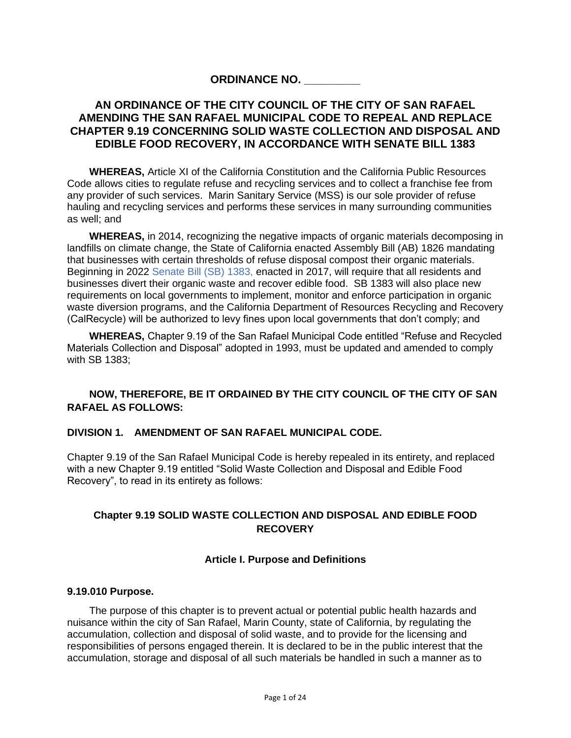# **ORDINANCE NO. \_\_\_\_\_\_\_\_\_**

# **AN ORDINANCE OF THE CITY COUNCIL OF THE CITY OF SAN RAFAEL AMENDING THE SAN RAFAEL MUNICIPAL CODE TO REPEAL AND REPLACE CHAPTER 9.19 CONCERNING SOLID WASTE COLLECTION AND DISPOSAL AND EDIBLE FOOD RECOVERY, IN ACCORDANCE WITH SENATE BILL 1383**

**WHEREAS,** Article XI of the California Constitution and the California Public Resources Code allows cities to regulate refuse and recycling services and to collect a franchise fee from any provider of such services. Marin Sanitary Service (MSS) is our sole provider of refuse hauling and recycling services and performs these services in many surrounding communities as well; and

**WHEREAS,** in 2014, recognizing the negative impacts of organic materials decomposing in landfills on climate change, the State of California enacted Assembly Bill (AB) 1826 mandating that businesses with certain thresholds of refuse disposal compost their organic materials. Beginning in 2022 [Senate Bill \(SB\) 1383,](https://www.calrecycle.ca.gov/organics/slcp/) enacted in 2017, will require that all residents and businesses divert their organic waste and recover edible food. SB 1383 will also place new requirements on local governments to implement, monitor and enforce participation in organic waste diversion programs, and the California Department of Resources Recycling and Recovery (CalRecycle) will be authorized to levy fines upon local governments that don't comply; and

**WHEREAS,** Chapter 9.19 of the San Rafael Municipal Code entitled "Refuse and Recycled Materials Collection and Disposal" adopted in 1993, must be updated and amended to comply with SB 1383;

# **NOW, THEREFORE, BE IT ORDAINED BY THE CITY COUNCIL OF THE CITY OF SAN RAFAEL AS FOLLOWS:**

### **DIVISION 1. AMENDMENT OF SAN RAFAEL MUNICIPAL CODE.**

Chapter 9.19 of the San Rafael Municipal Code is hereby repealed in its entirety, and replaced with a new Chapter 9.19 entitled "Solid Waste Collection and Disposal and Edible Food Recovery", to read in its entirety as follows:

# **Chapter 9.19 SOLID WASTE COLLECTION AND DISPOSAL AND EDIBLE FOOD RECOVERY**

# **Article I. Purpose and Definitions**

#### **9.19.010 Purpose.**

The purpose of this chapter is to prevent actual or potential public health hazards and nuisance within the city of San Rafael, Marin County, state of California, by regulating the accumulation, collection and disposal of solid waste, and to provide for the licensing and responsibilities of persons engaged therein. It is declared to be in the public interest that the accumulation, storage and disposal of all such materials be handled in such a manner as to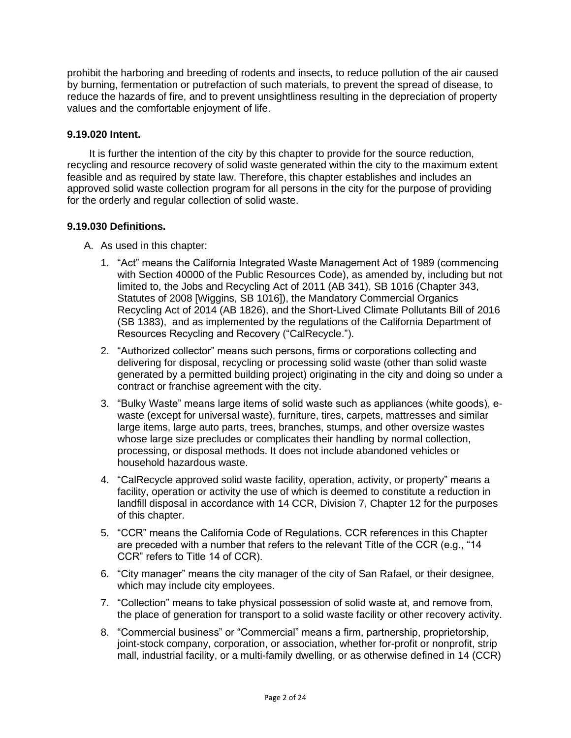prohibit the harboring and breeding of rodents and insects, to reduce pollution of the air caused by burning, fermentation or putrefaction of such materials, to prevent the spread of disease, to reduce the hazards of fire, and to prevent unsightliness resulting in the depreciation of property values and the comfortable enjoyment of life.

### **9.19.020 Intent.**

It is further the intention of the city by this chapter to provide for the source reduction, recycling and resource recovery of solid waste generated within the city to the maximum extent feasible and as required by state law. Therefore, this chapter establishes and includes an approved solid waste collection program for all persons in the city for the purpose of providing for the orderly and regular collection of solid waste.

### **9.19.030 Definitions.**

- A. As used in this chapter:
	- 1. "Act" means the California Integrated Waste Management Act of 1989 (commencing with Section 40000 of the Public Resources Code), as amended by, including but not limited to, the Jobs and Recycling Act of 2011 (AB 341), SB 1016 (Chapter 343, Statutes of 2008 [Wiggins, SB 1016]), the Mandatory Commercial Organics Recycling Act of 2014 (AB 1826), and the Short-Lived Climate Pollutants Bill of 2016 (SB 1383), and as implemented by the regulations of the California Department of Resources Recycling and Recovery ("CalRecycle.").
	- 2. "Authorized collector" means such persons, firms or corporations collecting and delivering for disposal, recycling or processing solid waste (other than solid waste generated by a permitted building project) originating in the city and doing so under a contract or franchise agreement with the city.
	- 3. "Bulky Waste" means large items of solid waste such as appliances (white goods), ewaste (except for universal waste), furniture, tires, carpets, mattresses and similar large items, large auto parts, trees, branches, stumps, and other oversize wastes whose large size precludes or complicates their handling by normal collection, processing, or disposal methods. It does not include abandoned vehicles or household hazardous waste.
	- 4. "CalRecycle approved solid waste facility, operation, activity, or property" means a facility, operation or activity the use of which is deemed to constitute a reduction in landfill disposal in accordance with 14 CCR, Division 7, Chapter 12 for the purposes of this chapter.
	- 5. "CCR" means the California Code of Regulations. CCR references in this Chapter are preceded with a number that refers to the relevant Title of the CCR (e.g., "14 CCR" refers to Title 14 of CCR).
	- 6. "City manager" means the city manager of the city of San Rafael, or their designee, which may include city employees.
	- 7. "Collection" means to take physical possession of solid waste at, and remove from, the place of generation for transport to a solid waste facility or other recovery activity.
	- 8. "Commercial business" or "Commercial" means a firm, partnership, proprietorship, joint-stock company, corporation, or association, whether for-profit or nonprofit, strip mall, industrial facility, or a multi-family dwelling, or as otherwise defined in 14 (CCR)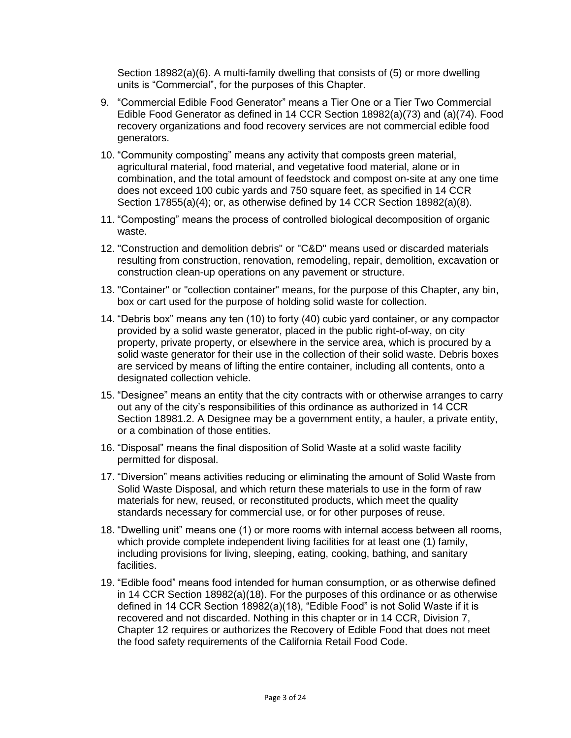Section 18982(a)(6). A multi-family dwelling that consists of (5) or more dwelling units is "Commercial", for the purposes of this Chapter.

- 9. "Commercial Edible Food Generator" means a Tier One or a Tier Two Commercial Edible Food Generator as defined in 14 CCR Section 18982(a)(73) and (a)(74). Food recovery organizations and food recovery services are not commercial edible food generators.
- 10. "Community composting" means any activity that composts green material, agricultural material, food material, and vegetative food material, alone or in combination, and the total amount of feedstock and compost on-site at any one time does not exceed 100 cubic yards and 750 square feet, as specified in 14 CCR Section 17855(a)(4); or, as otherwise defined by 14 CCR Section 18982(a)(8).
- 11. "Composting" means the process of controlled biological decomposition of organic waste.
- 12. "Construction and demolition debris" or "C&D" means used or discarded materials resulting from construction, renovation, remodeling, repair, demolition, excavation or construction clean-up operations on any pavement or structure.
- 13. "Container" or "collection container" means, for the purpose of this Chapter, any bin, box or cart used for the purpose of holding solid waste for collection.
- 14. "Debris box" means any ten (10) to forty (40) cubic yard container, or any compactor provided by a solid waste generator, placed in the public right-of-way, on city property, private property, or elsewhere in the service area, which is procured by a solid waste generator for their use in the collection of their solid waste. Debris boxes are serviced by means of lifting the entire container, including all contents, onto a designated collection vehicle.
- 15. "Designee" means an entity that the city contracts with or otherwise arranges to carry out any of the city's responsibilities of this ordinance as authorized in 14 CCR Section 18981.2. A Designee may be a government entity, a hauler, a private entity, or a combination of those entities.
- 16. "Disposal" means the final disposition of Solid Waste at a solid waste facility permitted for disposal.
- 17. "Diversion" means activities reducing or eliminating the amount of Solid Waste from Solid Waste Disposal, and which return these materials to use in the form of raw materials for new, reused, or reconstituted products, which meet the quality standards necessary for commercial use, or for other purposes of reuse.
- 18. "Dwelling unit" means one (1) or more rooms with internal access between all rooms, which provide complete independent living facilities for at least one (1) family, including provisions for living, sleeping, eating, cooking, bathing, and sanitary facilities.
- 19. "Edible food" means food intended for human consumption, or as otherwise defined in 14 CCR Section 18982(a)(18). For the purposes of this ordinance or as otherwise defined in 14 CCR Section 18982(a)(18), "Edible Food" is not Solid Waste if it is recovered and not discarded. Nothing in this chapter or in 14 CCR, Division 7, Chapter 12 requires or authorizes the Recovery of Edible Food that does not meet the food safety requirements of the California Retail Food Code.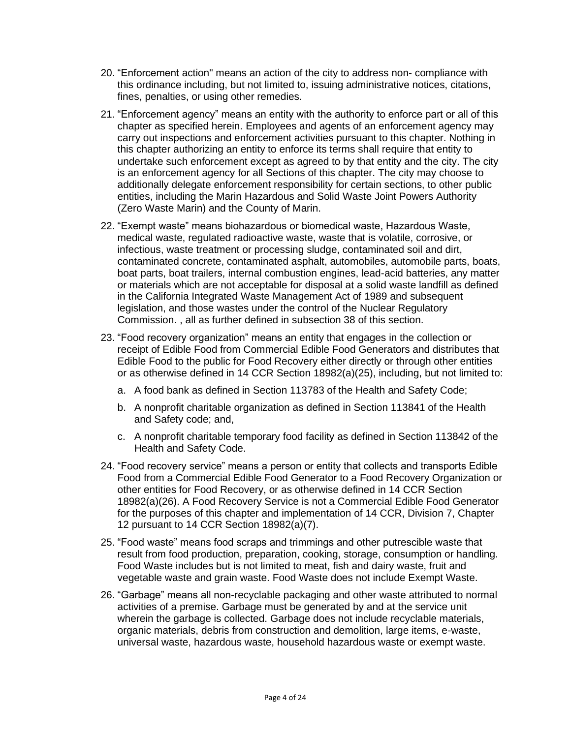- 20. "Enforcement action" means an action of the city to address non- compliance with this ordinance including, but not limited to, issuing administrative notices, citations, fines, penalties, or using other remedies.
- 21. "Enforcement agency" means an entity with the authority to enforce part or all of this chapter as specified herein. Employees and agents of an enforcement agency may carry out inspections and enforcement activities pursuant to this chapter. Nothing in this chapter authorizing an entity to enforce its terms shall require that entity to undertake such enforcement except as agreed to by that entity and the city. The city is an enforcement agency for all Sections of this chapter. The city may choose to additionally delegate enforcement responsibility for certain sections, to other public entities, including the Marin Hazardous and Solid Waste Joint Powers Authority (Zero Waste Marin) and the County of Marin.
- 22. "Exempt waste" means biohazardous or biomedical waste, Hazardous Waste, medical waste, regulated radioactive waste, waste that is volatile, corrosive, or infectious, waste treatment or processing sludge, contaminated soil and dirt, contaminated concrete, contaminated asphalt, automobiles, automobile parts, boats, boat parts, boat trailers, internal combustion engines, lead-acid batteries, any matter or materials which are not acceptable for disposal at a solid waste landfill as defined in the California Integrated Waste Management Act of 1989 and subsequent legislation, and those wastes under the control of the Nuclear Regulatory Commission. , all as further defined in subsection 38 of this section.
- 23. "Food recovery organization" means an entity that engages in the collection or receipt of Edible Food from Commercial Edible Food Generators and distributes that Edible Food to the public for Food Recovery either directly or through other entities or as otherwise defined in 14 CCR Section 18982(a)(25), including, but not limited to:
	- a. A food bank as defined in Section 113783 of the Health and Safety Code;
	- b. A nonprofit charitable organization as defined in Section 113841 of the Health and Safety code; and,
	- c. A nonprofit charitable temporary food facility as defined in Section 113842 of the Health and Safety Code.
- 24. "Food recovery service" means a person or entity that collects and transports Edible Food from a Commercial Edible Food Generator to a Food Recovery Organization or other entities for Food Recovery, or as otherwise defined in 14 CCR Section 18982(a)(26). A Food Recovery Service is not a Commercial Edible Food Generator for the purposes of this chapter and implementation of 14 CCR, Division 7, Chapter 12 pursuant to 14 CCR Section 18982(a)(7).
- 25. "Food waste" means food scraps and trimmings and other putrescible waste that result from food production, preparation, cooking, storage, consumption or handling. Food Waste includes but is not limited to meat, fish and dairy waste, fruit and vegetable waste and grain waste. Food Waste does not include Exempt Waste.
- 26. "Garbage" means all non-recyclable packaging and other waste attributed to normal activities of a premise. Garbage must be generated by and at the service unit wherein the garbage is collected. Garbage does not include recyclable materials, organic materials, debris from construction and demolition, large items, e-waste, universal waste, hazardous waste, household hazardous waste or exempt waste.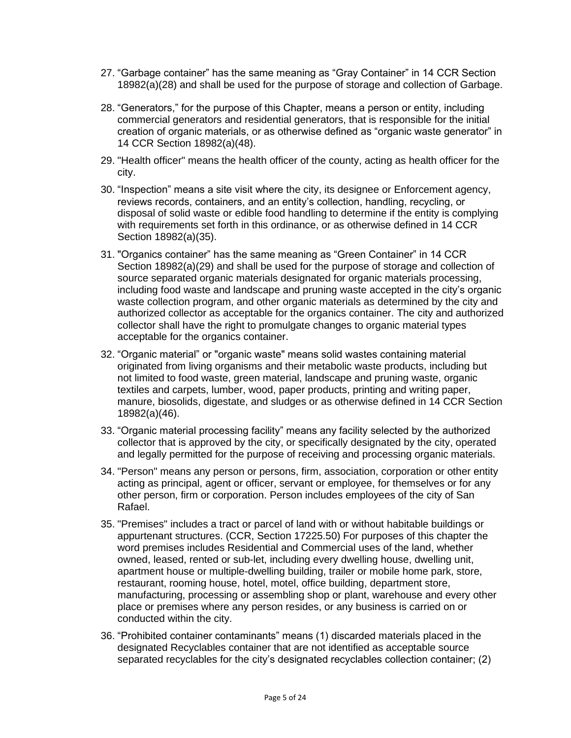- 27. "Garbage container" has the same meaning as "Gray Container" in 14 CCR Section 18982(a)(28) and shall be used for the purpose of storage and collection of Garbage.
- 28. "Generators," for the purpose of this Chapter, means a person or entity, including commercial generators and residential generators, that is responsible for the initial creation of organic materials, or as otherwise defined as "organic waste generator" in 14 CCR Section 18982(a)(48).
- 29. "Health officer" means the health officer of the county, acting as health officer for the city.
- 30. "Inspection" means a site visit where the city, its designee or Enforcement agency, reviews records, containers, and an entity's collection, handling, recycling, or disposal of solid waste or edible food handling to determine if the entity is complying with requirements set forth in this ordinance, or as otherwise defined in 14 CCR Section 18982(a)(35).
- 31. "Organics container" has the same meaning as "Green Container" in 14 CCR Section 18982(a)(29) and shall be used for the purpose of storage and collection of source separated organic materials designated for organic materials processing, including food waste and landscape and pruning waste accepted in the city's organic waste collection program, and other organic materials as determined by the city and authorized collector as acceptable for the organics container. The city and authorized collector shall have the right to promulgate changes to organic material types acceptable for the organics container.
- 32. "Organic material" or "organic waste" means solid wastes containing material originated from living organisms and their metabolic waste products, including but not limited to food waste, green material, landscape and pruning waste, organic textiles and carpets, lumber, wood, paper products, printing and writing paper, manure, biosolids, digestate, and sludges or as otherwise defined in 14 CCR Section 18982(a)(46).
- 33. "Organic material processing facility" means any facility selected by the authorized collector that is approved by the city, or specifically designated by the city, operated and legally permitted for the purpose of receiving and processing organic materials.
- 34. "Person" means any person or persons, firm, association, corporation or other entity acting as principal, agent or officer, servant or employee, for themselves or for any other person, firm or corporation. Person includes employees of the city of San Rafael.
- 35. "Premises" includes a tract or parcel of land with or without habitable buildings or appurtenant structures. (CCR, Section 17225.50) For purposes of this chapter the word premises includes Residential and Commercial uses of the land, whether owned, leased, rented or sub-let, including every dwelling house, dwelling unit, apartment house or multiple-dwelling building, trailer or mobile home park, store, restaurant, rooming house, hotel, motel, office building, department store, manufacturing, processing or assembling shop or plant, warehouse and every other place or premises where any person resides, or any business is carried on or conducted within the city.
- 36. "Prohibited container contaminants" means (1) discarded materials placed in the designated Recyclables container that are not identified as acceptable source separated recyclables for the city's designated recyclables collection container; (2)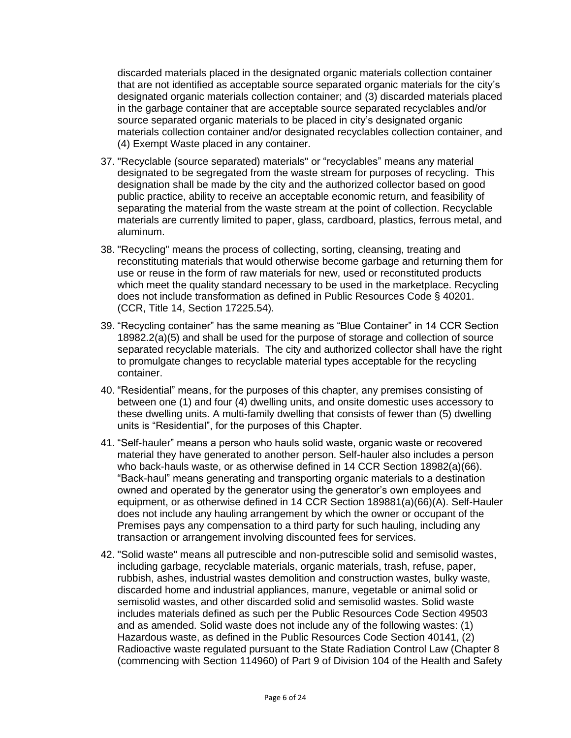discarded materials placed in the designated organic materials collection container that are not identified as acceptable source separated organic materials for the city's designated organic materials collection container; and (3) discarded materials placed in the garbage container that are acceptable source separated recyclables and/or source separated organic materials to be placed in city's designated organic materials collection container and/or designated recyclables collection container, and (4) Exempt Waste placed in any container.

- 37. "Recyclable (source separated) materials" or "recyclables" means any material designated to be segregated from the waste stream for purposes of recycling. This designation shall be made by the city and the authorized collector based on good public practice, ability to receive an acceptable economic return, and feasibility of separating the material from the waste stream at the point of collection. Recyclable materials are currently limited to paper, glass, cardboard, plastics, ferrous metal, and aluminum.
- 38. "Recycling" means the process of collecting, sorting, cleansing, treating and reconstituting materials that would otherwise become garbage and returning them for use or reuse in the form of raw materials for new, used or reconstituted products which meet the quality standard necessary to be used in the marketplace. Recycling does not include transformation as defined in Public Resources Code § 40201. (CCR, Title 14, Section 17225.54).
- 39. "Recycling container" has the same meaning as "Blue Container" in 14 CCR Section 18982.2(a)(5) and shall be used for the purpose of storage and collection of source separated recyclable materials. The city and authorized collector shall have the right to promulgate changes to recyclable material types acceptable for the recycling container.
- 40. "Residential" means, for the purposes of this chapter, any premises consisting of between one (1) and four (4) dwelling units, and onsite domestic uses accessory to these dwelling units. A multi-family dwelling that consists of fewer than (5) dwelling units is "Residential", for the purposes of this Chapter.
- 41. "Self-hauler" means a person who hauls solid waste, organic waste or recovered material they have generated to another person. Self-hauler also includes a person who back-hauls waste, or as otherwise defined in 14 CCR Section 18982(a)(66). "Back-haul" means generating and transporting organic materials to a destination owned and operated by the generator using the generator's own employees and equipment, or as otherwise defined in 14 CCR Section 189881(a)(66)(A). Self-Hauler does not include any hauling arrangement by which the owner or occupant of the Premises pays any compensation to a third party for such hauling, including any transaction or arrangement involving discounted fees for services.
- 42. "Solid waste" means all putrescible and non-putrescible solid and semisolid wastes, including garbage, recyclable materials, organic materials, trash, refuse, paper, rubbish, ashes, industrial wastes demolition and construction wastes, bulky waste, discarded home and industrial appliances, manure, vegetable or animal solid or semisolid wastes, and other discarded solid and semisolid wastes. Solid waste includes materials defined as such per the Public Resources Code Section 49503 and as amended. Solid waste does not include any of the following wastes: (1) Hazardous waste, as defined in the Public Resources Code Section 40141, (2) Radioactive waste regulated pursuant to the State Radiation Control Law (Chapter 8 (commencing with Section 114960) of Part 9 of Division 104 of the Health and Safety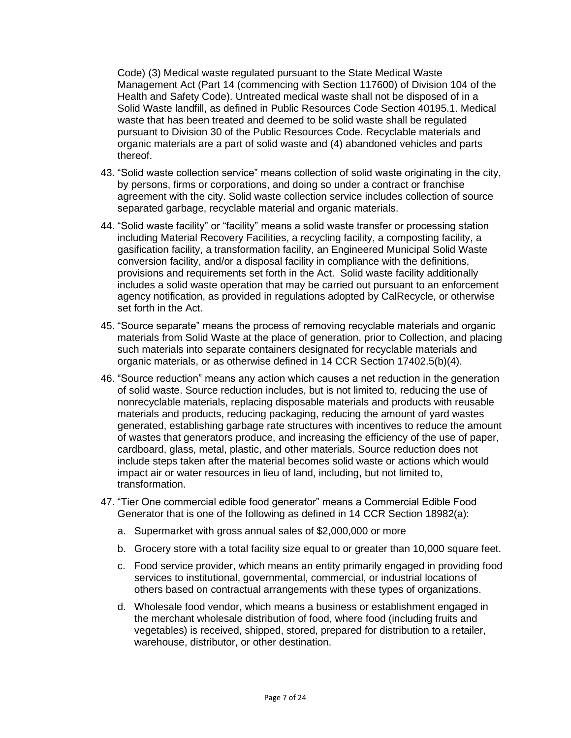Code) (3) Medical waste regulated pursuant to the State Medical Waste Management Act (Part 14 (commencing with Section 117600) of Division 104 of the Health and Safety Code). Untreated medical waste shall not be disposed of in a Solid Waste landfill, as defined in Public Resources Code Section 40195.1. Medical waste that has been treated and deemed to be solid waste shall be regulated pursuant to Division 30 of the Public Resources Code. Recyclable materials and organic materials are a part of solid waste and (4) abandoned vehicles and parts thereof.

- 43. "Solid waste collection service" means collection of solid waste originating in the city, by persons, firms or corporations, and doing so under a contract or franchise agreement with the city. Solid waste collection service includes collection of source separated garbage, recyclable material and organic materials.
- 44. "Solid waste facility" or "facility" means a solid waste transfer or processing station including Material Recovery Facilities, a recycling facility, a composting facility, a gasification facility, a transformation facility, an Engineered Municipal Solid Waste conversion facility, and/or a disposal facility in compliance with the definitions, provisions and requirements set forth in the Act. Solid waste facility additionally includes a solid waste operation that may be carried out pursuant to an enforcement agency notification, as provided in regulations adopted by CalRecycle, or otherwise set forth in the Act.
- 45. "Source separate" means the process of removing recyclable materials and organic materials from Solid Waste at the place of generation, prior to Collection, and placing such materials into separate containers designated for recyclable materials and organic materials, or as otherwise defined in 14 CCR Section 17402.5(b)(4).
- 46. "Source reduction" means any action which causes a net reduction in the generation of solid waste. Source reduction includes, but is not limited to, reducing the use of nonrecyclable materials, replacing disposable materials and products with reusable materials and products, reducing packaging, reducing the amount of yard wastes generated, establishing garbage rate structures with incentives to reduce the amount of wastes that generators produce, and increasing the efficiency of the use of paper, cardboard, glass, metal, plastic, and other materials. Source reduction does not include steps taken after the material becomes solid waste or actions which would impact air or water resources in lieu of land, including, but not limited to, transformation.
- 47. "Tier One commercial edible food generator" means a Commercial Edible Food Generator that is one of the following as defined in 14 CCR Section 18982(a):
	- a. Supermarket with gross annual sales of \$2,000,000 or more
	- b. Grocery store with a total facility size equal to or greater than 10,000 square feet.
	- c. Food service provider, which means an entity primarily engaged in providing food services to institutional, governmental, commercial, or industrial locations of others based on contractual arrangements with these types of organizations.
	- d. Wholesale food vendor, which means a business or establishment engaged in the merchant wholesale distribution of food, where food (including fruits and vegetables) is received, shipped, stored, prepared for distribution to a retailer, warehouse, distributor, or other destination.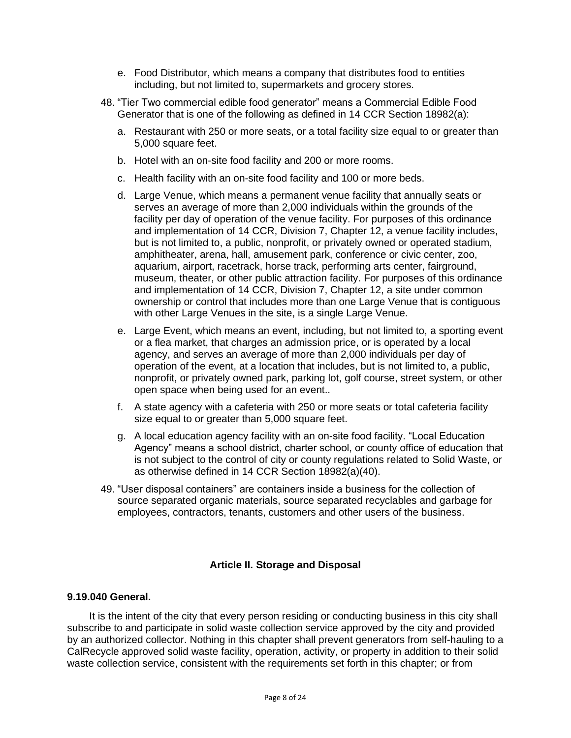- e. Food Distributor, which means a company that distributes food to entities including, but not limited to, supermarkets and grocery stores.
- 48. "Tier Two commercial edible food generator" means a Commercial Edible Food Generator that is one of the following as defined in 14 CCR Section 18982(a):
	- a. Restaurant with 250 or more seats, or a total facility size equal to or greater than 5,000 square feet.
	- b. Hotel with an on-site food facility and 200 or more rooms.
	- c. Health facility with an on-site food facility and 100 or more beds.
	- d. Large Venue, which means a permanent venue facility that annually seats or serves an average of more than 2,000 individuals within the grounds of the facility per day of operation of the venue facility. For purposes of this ordinance and implementation of 14 CCR, Division 7, Chapter 12, a venue facility includes, but is not limited to, a public, nonprofit, or privately owned or operated stadium, amphitheater, arena, hall, amusement park, conference or civic center, zoo, aquarium, airport, racetrack, horse track, performing arts center, fairground, museum, theater, or other public attraction facility. For purposes of this ordinance and implementation of 14 CCR, Division 7, Chapter 12, a site under common ownership or control that includes more than one Large Venue that is contiguous with other Large Venues in the site, is a single Large Venue.
	- e. Large Event, which means an event, including, but not limited to, a sporting event or a flea market, that charges an admission price, or is operated by a local agency, and serves an average of more than 2,000 individuals per day of operation of the event, at a location that includes, but is not limited to, a public, nonprofit, or privately owned park, parking lot, golf course, street system, or other open space when being used for an event..
	- f. A state agency with a cafeteria with 250 or more seats or total cafeteria facility size equal to or greater than 5,000 square feet.
	- g. A local education agency facility with an on-site food facility. "Local Education Agency" means a school district, charter school, or county office of education that is not subject to the control of city or county regulations related to Solid Waste, or as otherwise defined in 14 CCR Section 18982(a)(40).
- 49. "User disposal containers" are containers inside a business for the collection of source separated organic materials, source separated recyclables and garbage for employees, contractors, tenants, customers and other users of the business.

# **Article II. Storage and Disposal**

#### **9.19.040 General.**

It is the intent of the city that every person residing or conducting business in this city shall subscribe to and participate in solid waste collection service approved by the city and provided by an authorized collector. Nothing in this chapter shall prevent generators from self-hauling to a CalRecycle approved solid waste facility, operation, activity, or property in addition to their solid waste collection service, consistent with the requirements set forth in this chapter; or from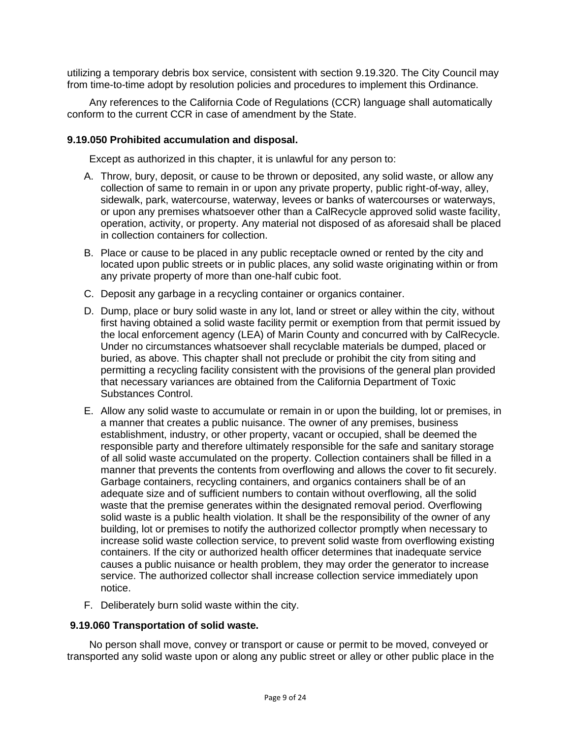utilizing a temporary debris box service, consistent with section 9.19.320. The City Council may from time-to-time adopt by resolution policies and procedures to implement this Ordinance.

Any references to the California Code of Regulations (CCR) language shall automatically conform to the current CCR in case of amendment by the State.

#### **9.19.050 Prohibited accumulation and disposal.**

Except as authorized in this chapter, it is unlawful for any person to:

- A. Throw, bury, deposit, or cause to be thrown or deposited, any solid waste, or allow any collection of same to remain in or upon any private property, public right-of-way, alley, sidewalk, park, watercourse, waterway, levees or banks of watercourses or waterways, or upon any premises whatsoever other than a CalRecycle approved solid waste facility, operation, activity, or property. Any material not disposed of as aforesaid shall be placed in collection containers for collection.
- B. Place or cause to be placed in any public receptacle owned or rented by the city and located upon public streets or in public places, any solid waste originating within or from any private property of more than one-half cubic foot.
- C. Deposit any garbage in a recycling container or organics container.
- D. Dump, place or bury solid waste in any lot, land or street or alley within the city, without first having obtained a solid waste facility permit or exemption from that permit issued by the local enforcement agency (LEA) of Marin County and concurred with by CalRecycle. Under no circumstances whatsoever shall recyclable materials be dumped, placed or buried, as above. This chapter shall not preclude or prohibit the city from siting and permitting a recycling facility consistent with the provisions of the general plan provided that necessary variances are obtained from the California Department of Toxic Substances Control.
- E. Allow any solid waste to accumulate or remain in or upon the building, lot or premises, in a manner that creates a public nuisance. The owner of any premises, business establishment, industry, or other property, vacant or occupied, shall be deemed the responsible party and therefore ultimately responsible for the safe and sanitary storage of all solid waste accumulated on the property. Collection containers shall be filled in a manner that prevents the contents from overflowing and allows the cover to fit securely. Garbage containers, recycling containers, and organics containers shall be of an adequate size and of sufficient numbers to contain without overflowing, all the solid waste that the premise generates within the designated removal period. Overflowing solid waste is a public health violation. It shall be the responsibility of the owner of any building, lot or premises to notify the authorized collector promptly when necessary to increase solid waste collection service, to prevent solid waste from overflowing existing containers. If the city or authorized health officer determines that inadequate service causes a public nuisance or health problem, they may order the generator to increase service. The authorized collector shall increase collection service immediately upon notice.
- F. Deliberately burn solid waste within the city.

#### **9.19.060 Transportation of solid waste.**

No person shall move, convey or transport or cause or permit to be moved, conveyed or transported any solid waste upon or along any public street or alley or other public place in the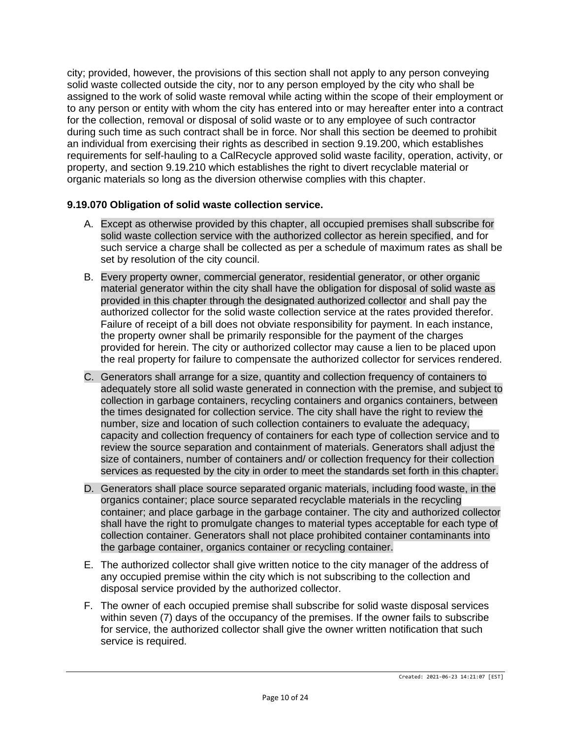city; provided, however, the provisions of this section shall not apply to any person conveying solid waste collected outside the city, nor to any person employed by the city who shall be assigned to the work of solid waste removal while acting within the scope of their employment or to any person or entity with whom the city has entered into or may hereafter enter into a contract for the collection, removal or disposal of solid waste or to any employee of such contractor during such time as such contract shall be in force. Nor shall this section be deemed to prohibit an individual from exercising their rights as described in section 9.19.200, which establishes requirements for self-hauling to a CalRecycle approved solid waste facility, operation, activity, or property, and section 9.19.210 which establishes the right to divert recyclable material or organic materials so long as the diversion otherwise complies with this chapter.

# **9.19.070 Obligation of solid waste collection service.**

- A. Except as otherwise provided by this chapter, all occupied premises shall subscribe for solid waste collection service with the authorized collector as herein specified, and for such service a charge shall be collected as per a schedule of maximum rates as shall be set by resolution of the city council.
- B. Every property owner, commercial generator, residential generator, or other organic material generator within the city shall have the obligation for disposal of solid waste as provided in this chapter through the designated authorized collector and shall pay the authorized collector for the solid waste collection service at the rates provided therefor. Failure of receipt of a bill does not obviate responsibility for payment. In each instance, the property owner shall be primarily responsible for the payment of the charges provided for herein. The city or authorized collector may cause a lien to be placed upon the real property for failure to compensate the authorized collector for services rendered.
- C. Generators shall arrange for a size, quantity and collection frequency of containers to adequately store all solid waste generated in connection with the premise, and subject to collection in garbage containers, recycling containers and organics containers, between the times designated for collection service. The city shall have the right to review the number, size and location of such collection containers to evaluate the adequacy, capacity and collection frequency of containers for each type of collection service and to review the source separation and containment of materials. Generators shall adjust the size of containers, number of containers and/ or collection frequency for their collection services as requested by the city in order to meet the standards set forth in this chapter.
- D. Generators shall place source separated organic materials, including food waste, in the organics container; place source separated recyclable materials in the recycling container; and place garbage in the garbage container. The city and authorized collector shall have the right to promulgate changes to material types acceptable for each type of collection container. Generators shall not place prohibited container contaminants into the garbage container, organics container or recycling container.
- E. The authorized collector shall give written notice to the city manager of the address of any occupied premise within the city which is not subscribing to the collection and disposal service provided by the authorized collector.
- F. The owner of each occupied premise shall subscribe for solid waste disposal services within seven (7) days of the occupancy of the premises. If the owner fails to subscribe for service, the authorized collector shall give the owner written notification that such service is required.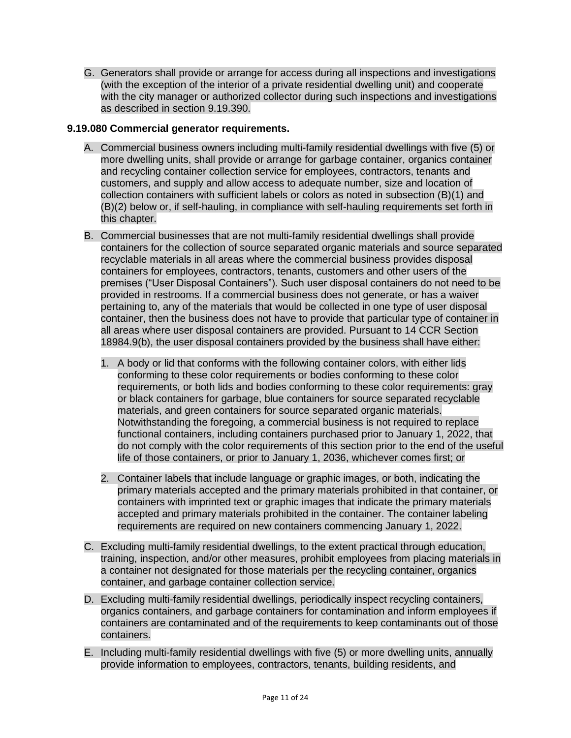G. Generators shall provide or arrange for access during all inspections and investigations (with the exception of the interior of a private residential dwelling unit) and cooperate with the city manager or authorized collector during such inspections and investigations as described in section 9.19.390.

# **9.19.080 Commercial generator requirements.**

- A. Commercial business owners including multi-family residential dwellings with five (5) or more dwelling units, shall provide or arrange for garbage container, organics container and recycling container collection service for employees, contractors, tenants and customers, and supply and allow access to adequate number, size and location of collection containers with sufficient labels or colors as noted in subsection (B)(1) and (B)(2) below or, if self-hauling, in compliance with self-hauling requirements set forth in this chapter.
- B. Commercial businesses that are not multi-family residential dwellings shall provide containers for the collection of source separated organic materials and source separated recyclable materials in all areas where the commercial business provides disposal containers for employees, contractors, tenants, customers and other users of the premises ("User Disposal Containers"). Such user disposal containers do not need to be provided in restrooms. If a commercial business does not generate, or has a waiver pertaining to, any of the materials that would be collected in one type of user disposal container, then the business does not have to provide that particular type of container in all areas where user disposal containers are provided. Pursuant to 14 CCR Section 18984.9(b), the user disposal containers provided by the business shall have either:
	- 1. A body or lid that conforms with the following container colors, with either lids conforming to these color requirements or bodies conforming to these color requirements, or both lids and bodies conforming to these color requirements: gray or black containers for garbage, blue containers for source separated recyclable materials, and green containers for source separated organic materials. Notwithstanding the foregoing, a commercial business is not required to replace functional containers, including containers purchased prior to January 1, 2022, that do not comply with the color requirements of this section prior to the end of the useful life of those containers, or prior to January 1, 2036, whichever comes first; or
	- 2. Container labels that include language or graphic images, or both, indicating the primary materials accepted and the primary materials prohibited in that container, or containers with imprinted text or graphic images that indicate the primary materials accepted and primary materials prohibited in the container. The container labeling requirements are required on new containers commencing January 1, 2022.
- C. Excluding multi-family residential dwellings, to the extent practical through education, training, inspection, and/or other measures, prohibit employees from placing materials in a container not designated for those materials per the recycling container, organics container, and garbage container collection service.
- D. Excluding multi-family residential dwellings, periodically inspect recycling containers, organics containers, and garbage containers for contamination and inform employees if containers are contaminated and of the requirements to keep contaminants out of those containers.
- E. Including multi-family residential dwellings with five (5) or more dwelling units, annually provide information to employees, contractors, tenants, building residents, and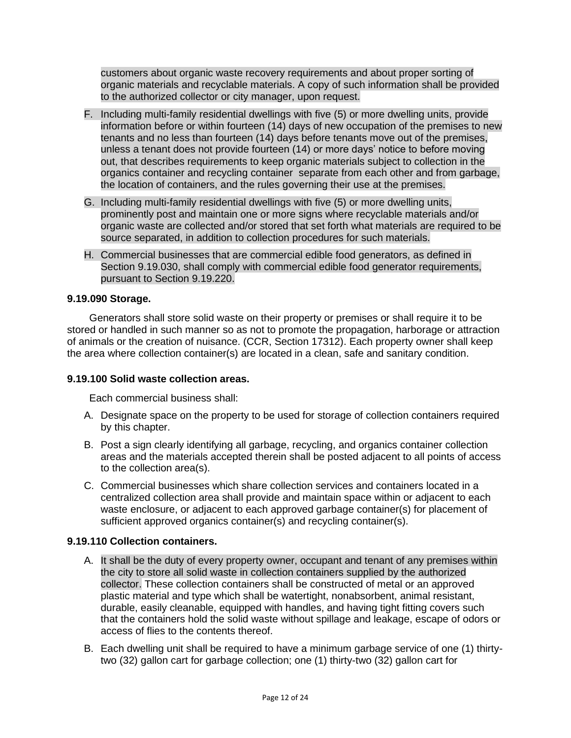customers about organic waste recovery requirements and about proper sorting of organic materials and recyclable materials. A copy of such information shall be provided to the authorized collector or city manager, upon request.

- F. Including multi-family residential dwellings with five (5) or more dwelling units, provide information before or within fourteen (14) days of new occupation of the premises to new tenants and no less than fourteen (14) days before tenants move out of the premises, unless a tenant does not provide fourteen (14) or more days' notice to before moving out, that describes requirements to keep organic materials subject to collection in the organics container and recycling container separate from each other and from garbage, the location of containers, and the rules governing their use at the premises.
- G. Including multi-family residential dwellings with five (5) or more dwelling units, prominently post and maintain one or more signs where recyclable materials and/or organic waste are collected and/or stored that set forth what materials are required to be source separated, in addition to collection procedures for such materials.
- H. Commercial businesses that are commercial edible food generators, as defined in Section 9.19.030, shall comply with commercial edible food generator requirements, pursuant to Section 9.19.220.

# **9.19.090 Storage.**

Generators shall store solid waste on their property or premises or shall require it to be stored or handled in such manner so as not to promote the propagation, harborage or attraction of animals or the creation of nuisance. (CCR, Section 17312). Each property owner shall keep the area where collection container(s) are located in a clean, safe and sanitary condition.

#### **9.19.100 Solid waste collection areas.**

Each commercial business shall:

- A. Designate space on the property to be used for storage of collection containers required by this chapter.
- B. Post a sign clearly identifying all garbage, recycling, and organics container collection areas and the materials accepted therein shall be posted adjacent to all points of access to the collection area(s).
- C. Commercial businesses which share collection services and containers located in a centralized collection area shall provide and maintain space within or adjacent to each waste enclosure, or adjacent to each approved garbage container(s) for placement of sufficient approved organics container(s) and recycling container(s).

# **9.19.110 Collection containers.**

- A. It shall be the duty of every property owner, occupant and tenant of any premises within the city to store all solid waste in collection containers supplied by the authorized collector. These collection containers shall be constructed of metal or an approved plastic material and type which shall be watertight, nonabsorbent, animal resistant, durable, easily cleanable, equipped with handles, and having tight fitting covers such that the containers hold the solid waste without spillage and leakage, escape of odors or access of flies to the contents thereof.
- B. Each dwelling unit shall be required to have a minimum garbage service of one (1) thirtytwo (32) gallon cart for garbage collection; one (1) thirty-two (32) gallon cart for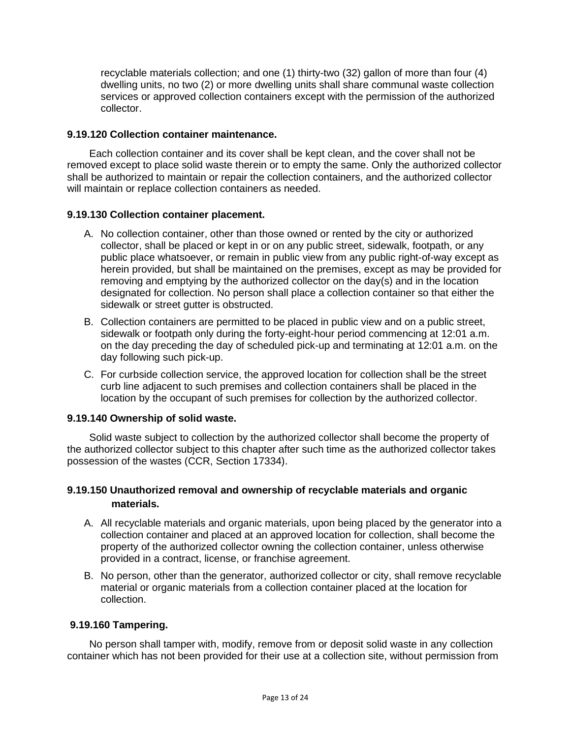recyclable materials collection; and one (1) thirty-two (32) gallon of more than four (4) dwelling units, no two (2) or more dwelling units shall share communal waste collection services or approved collection containers except with the permission of the authorized collector.

### **9.19.120 Collection container maintenance.**

Each collection container and its cover shall be kept clean, and the cover shall not be removed except to place solid waste therein or to empty the same. Only the authorized collector shall be authorized to maintain or repair the collection containers, and the authorized collector will maintain or replace collection containers as needed.

### **9.19.130 Collection container placement.**

- A. No collection container, other than those owned or rented by the city or authorized collector, shall be placed or kept in or on any public street, sidewalk, footpath, or any public place whatsoever, or remain in public view from any public right-of-way except as herein provided, but shall be maintained on the premises, except as may be provided for removing and emptying by the authorized collector on the day(s) and in the location designated for collection. No person shall place a collection container so that either the sidewalk or street gutter is obstructed.
- B. Collection containers are permitted to be placed in public view and on a public street, sidewalk or footpath only during the forty-eight-hour period commencing at 12:01 a.m. on the day preceding the day of scheduled pick-up and terminating at 12:01 a.m. on the day following such pick-up.
- C. For curbside collection service, the approved location for collection shall be the street curb line adjacent to such premises and collection containers shall be placed in the location by the occupant of such premises for collection by the authorized collector.

#### **9.19.140 Ownership of solid waste.**

Solid waste subject to collection by the authorized collector shall become the property of the authorized collector subject to this chapter after such time as the authorized collector takes possession of the wastes (CCR, Section 17334).

# **9.19.150 Unauthorized removal and ownership of recyclable materials and organic materials.**

- A. All recyclable materials and organic materials, upon being placed by the generator into a collection container and placed at an approved location for collection, shall become the property of the authorized collector owning the collection container, unless otherwise provided in a contract, license, or franchise agreement.
- B. No person, other than the generator, authorized collector or city, shall remove recyclable material or organic materials from a collection container placed at the location for collection.

# **9.19.160 Tampering.**

No person shall tamper with, modify, remove from or deposit solid waste in any collection container which has not been provided for their use at a collection site, without permission from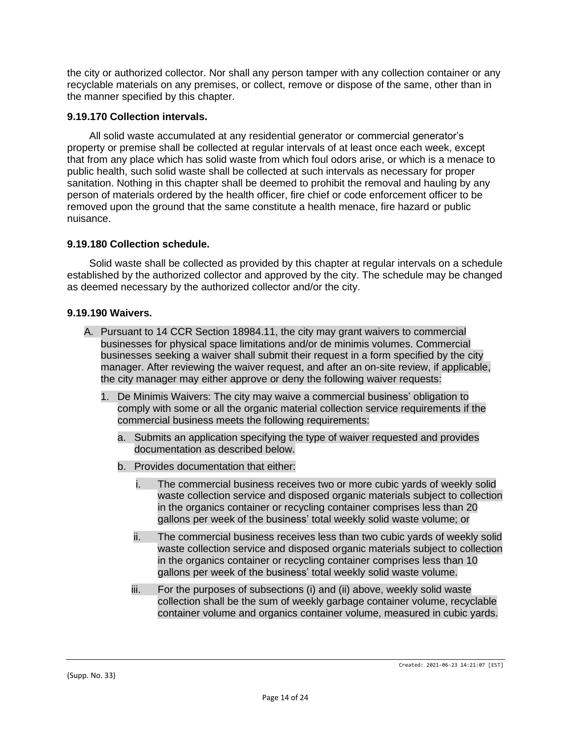the city or authorized collector. Nor shall any person tamper with any collection container or any recyclable materials on any premises, or collect, remove or dispose of the same, other than in the manner specified by this chapter.

### **9.19.170 Collection intervals.**

All solid waste accumulated at any residential generator or commercial generator's property or premise shall be collected at regular intervals of at least once each week, except that from any place which has solid waste from which foul odors arise, or which is a menace to public health, such solid waste shall be collected at such intervals as necessary for proper sanitation. Nothing in this chapter shall be deemed to prohibit the removal and hauling by any person of materials ordered by the health officer, fire chief or code enforcement officer to be removed upon the ground that the same constitute a health menace, fire hazard or public nuisance.

### **9.19.180 Collection schedule.**

Solid waste shall be collected as provided by this chapter at regular intervals on a schedule established by the authorized collector and approved by the city. The schedule may be changed as deemed necessary by the authorized collector and/or the city.

### **9.19.190 Waivers.**

- A. Pursuant to 14 CCR Section 18984.11, the city may grant waivers to commercial businesses for physical space limitations and/or de minimis volumes. Commercial businesses seeking a waiver shall submit their request in a form specified by the city manager. After reviewing the waiver request, and after an on-site review, if applicable, the city manager may either approve or deny the following waiver requests:
	- 1. De Minimis Waivers: The city may waive a commercial business' obligation to comply with some or all the organic material collection service requirements if the commercial business meets the following requirements:
		- a. Submits an application specifying the type of waiver requested and provides documentation as described below.
		- b. Provides documentation that either:
			- i. The commercial business receives two or more cubic yards of weekly solid waste collection service and disposed organic materials subject to collection in the organics container or recycling container comprises less than 20 gallons per week of the business' total weekly solid waste volume; or
			- ii. The commercial business receives less than two cubic yards of weekly solid waste collection service and disposed organic materials subject to collection in the organics container or recycling container comprises less than 10 gallons per week of the business' total weekly solid waste volume.
			- iii. For the purposes of subsections (i) and (ii) above, weekly solid waste collection shall be the sum of weekly garbage container volume, recyclable container volume and organics container volume, measured in cubic yards.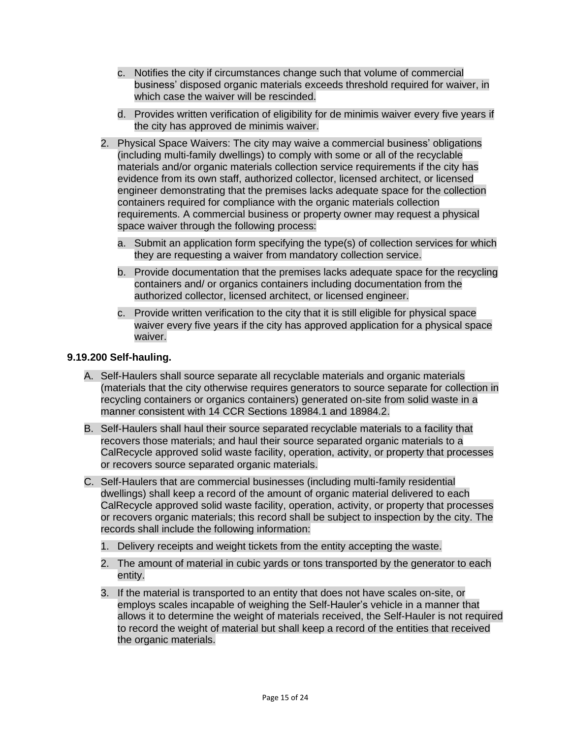- c. Notifies the city if circumstances change such that volume of commercial business' disposed organic materials exceeds threshold required for waiver, in which case the waiver will be rescinded.
- d. Provides written verification of eligibility for de minimis waiver every five years if the city has approved de minimis waiver.
- 2. Physical Space Waivers: The city may waive a commercial business' obligations (including multi-family dwellings) to comply with some or all of the recyclable materials and/or organic materials collection service requirements if the city has evidence from its own staff, authorized collector, licensed architect, or licensed engineer demonstrating that the premises lacks adequate space for the collection containers required for compliance with the organic materials collection requirements. A commercial business or property owner may request a physical space waiver through the following process:
	- a. Submit an application form specifying the type(s) of collection services for which they are requesting a waiver from mandatory collection service.
	- b. Provide documentation that the premises lacks adequate space for the recycling containers and/ or organics containers including documentation from the authorized collector, licensed architect, or licensed engineer.
	- c. Provide written verification to the city that it is still eligible for physical space waiver every five years if the city has approved application for a physical space waiver.

# **9.19.200 Self-hauling.**

- A. Self-Haulers shall source separate all recyclable materials and organic materials (materials that the city otherwise requires generators to source separate for collection in recycling containers or organics containers) generated on-site from solid waste in a manner consistent with 14 CCR Sections 18984.1 and 18984.2.
- B. Self-Haulers shall haul their source separated recyclable materials to a facility that recovers those materials; and haul their source separated organic materials to a CalRecycle approved solid waste facility, operation, activity, or property that processes or recovers source separated organic materials.
- C. Self-Haulers that are commercial businesses (including multi-family residential dwellings) shall keep a record of the amount of organic material delivered to each CalRecycle approved solid waste facility, operation, activity, or property that processes or recovers organic materials; this record shall be subject to inspection by the city. The records shall include the following information:
	- 1. Delivery receipts and weight tickets from the entity accepting the waste.
	- 2. The amount of material in cubic yards or tons transported by the generator to each entity.
	- 3. If the material is transported to an entity that does not have scales on-site, or employs scales incapable of weighing the Self-Hauler's vehicle in a manner that allows it to determine the weight of materials received, the Self-Hauler is not required to record the weight of material but shall keep a record of the entities that received the organic materials.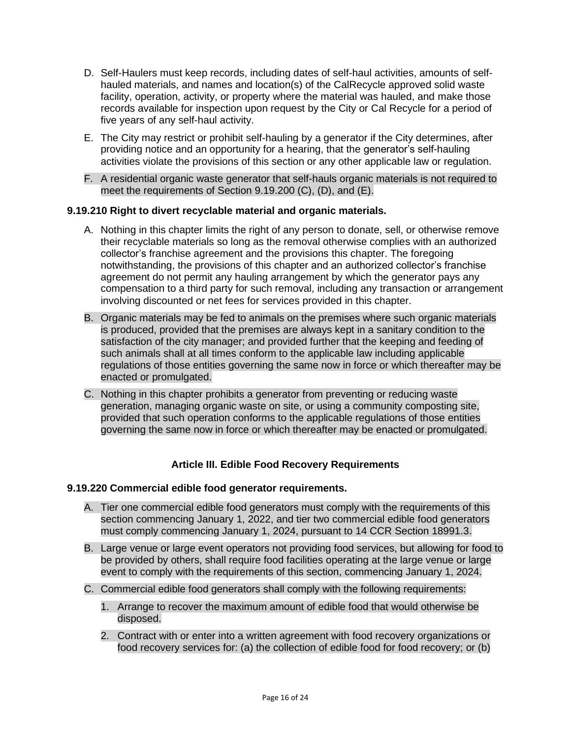- D. Self-Haulers must keep records, including dates of self-haul activities, amounts of selfhauled materials, and names and location(s) of the CalRecycle approved solid waste facility, operation, activity, or property where the material was hauled, and make those records available for inspection upon request by the City or Cal Recycle for a period of five years of any self-haul activity.
- E. The City may restrict or prohibit self-hauling by a generator if the City determines, after providing notice and an opportunity for a hearing, that the generator's self-hauling activities violate the provisions of this section or any other applicable law or regulation.
- F. A residential organic waste generator that self-hauls organic materials is not required to meet the requirements of Section 9.19.200 (C), (D), and (E).

# **9.19.210 Right to divert recyclable material and organic materials.**

- A. Nothing in this chapter limits the right of any person to donate, sell, or otherwise remove their recyclable materials so long as the removal otherwise complies with an authorized collector's franchise agreement and the provisions this chapter. The foregoing notwithstanding, the provisions of this chapter and an authorized collector's franchise agreement do not permit any hauling arrangement by which the generator pays any compensation to a third party for such removal, including any transaction or arrangement involving discounted or net fees for services provided in this chapter.
- B. Organic materials may be fed to animals on the premises where such organic materials is produced, provided that the premises are always kept in a sanitary condition to the satisfaction of the city manager; and provided further that the keeping and feeding of such animals shall at all times conform to the applicable law including applicable regulations of those entities governing the same now in force or which thereafter may be enacted or promulgated.
- C. Nothing in this chapter prohibits a generator from preventing or reducing waste generation, managing organic waste on site, or using a community composting site, provided that such operation conforms to the applicable regulations of those entities governing the same now in force or which thereafter may be enacted or promulgated.

# **Article III. Edible Food Recovery Requirements**

# **9.19.220 Commercial edible food generator requirements.**

- A. Tier one commercial edible food generators must comply with the requirements of this section commencing January 1, 2022, and tier two commercial edible food generators must comply commencing January 1, 2024, pursuant to 14 CCR Section 18991.3.
- B. Large venue or large event operators not providing food services, but allowing for food to be provided by others, shall require food facilities operating at the large venue or large event to comply with the requirements of this section, commencing January 1, 2024.
- C. Commercial edible food generators shall comply with the following requirements:
	- 1. Arrange to recover the maximum amount of edible food that would otherwise be disposed.
	- 2. Contract with or enter into a written agreement with food recovery organizations or food recovery services for: (a) the collection of edible food for food recovery; or (b)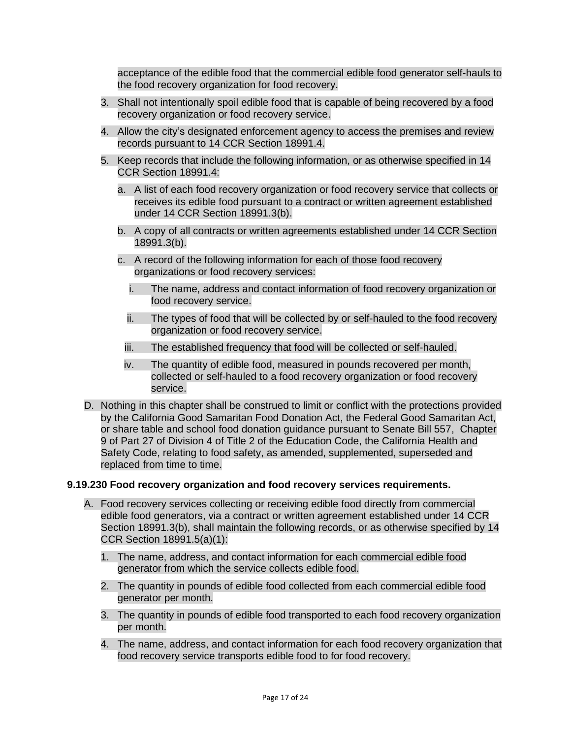acceptance of the edible food that the commercial edible food generator self-hauls to the food recovery organization for food recovery.

- 3. Shall not intentionally spoil edible food that is capable of being recovered by a food recovery organization or food recovery service.
- 4. Allow the city's designated enforcement agency to access the premises and review records pursuant to 14 CCR Section 18991.4.
- 5. Keep records that include the following information, or as otherwise specified in 14 CCR Section 18991.4:
	- a. A list of each food recovery organization or food recovery service that collects or receives its edible food pursuant to a contract or written agreement established under 14 CCR Section 18991.3(b).
	- b. A copy of all contracts or written agreements established under 14 CCR Section 18991.3(b).
	- c. A record of the following information for each of those food recovery organizations or food recovery services:
		- i. The name, address and contact information of food recovery organization or food recovery service.
		- ii. The types of food that will be collected by or self-hauled to the food recovery organization or food recovery service.
		- iii. The established frequency that food will be collected or self-hauled.
		- iv. The quantity of edible food, measured in pounds recovered per month, collected or self-hauled to a food recovery organization or food recovery service.
- D. Nothing in this chapter shall be construed to limit or conflict with the protections provided by the California Good Samaritan Food Donation Act, the Federal Good Samaritan Act, or share table and school food donation guidance pursuant to Senate Bill 557, Chapter 9 of Part 27 of Division 4 of Title 2 of the Education Code, the California Health and Safety Code, relating to food safety, as amended, supplemented, superseded and replaced from time to time.

#### **9.19.230 Food recovery organization and food recovery services requirements.**

- A. Food recovery services collecting or receiving edible food directly from commercial edible food generators, via a contract or written agreement established under 14 CCR Section 18991.3(b), shall maintain the following records, or as otherwise specified by 14 CCR Section 18991.5(a)(1):
	- 1. The name, address, and contact information for each commercial edible food generator from which the service collects edible food.
	- 2. The quantity in pounds of edible food collected from each commercial edible food generator per month.
	- 3. The quantity in pounds of edible food transported to each food recovery organization per month.
	- 4. The name, address, and contact information for each food recovery organization that food recovery service transports edible food to for food recovery.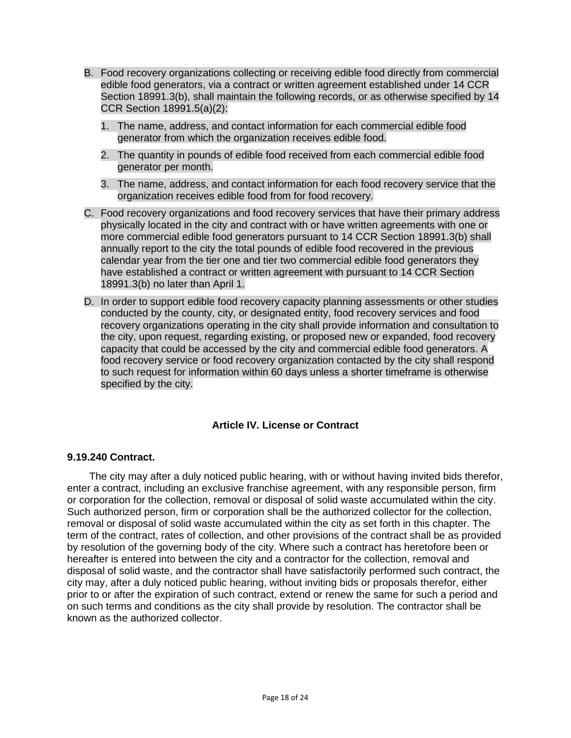- B. Food recovery organizations collecting or receiving edible food directly from commercial edible food generators, via a contract or written agreement established under 14 CCR Section 18991.3(b), shall maintain the following records, or as otherwise specified by 14 CCR Section 18991.5(a)(2):
	- 1. The name, address, and contact information for each commercial edible food generator from which the organization receives edible food.
	- 2. The quantity in pounds of edible food received from each commercial edible food generator per month.
	- 3. The name, address, and contact information for each food recovery service that the organization receives edible food from for food recovery.
- C. Food recovery organizations and food recovery services that have their primary address physically located in the city and contract with or have written agreements with one or more commercial edible food generators pursuant to 14 CCR Section 18991.3(b) shall annually report to the city the total pounds of edible food recovered in the previous calendar year from the tier one and tier two commercial edible food generators they have established a contract or written agreement with pursuant to 14 CCR Section 18991.3(b) no later than April 1.
- D. In order to support edible food recovery capacity planning assessments or other studies conducted by the county, city, or designated entity, food recovery services and food recovery organizations operating in the city shall provide information and consultation to the city, upon request, regarding existing, or proposed new or expanded, food recovery capacity that could be accessed by the city and commercial edible food generators. A food recovery service or food recovery organization contacted by the city shall respond to such request for information within 60 days unless a shorter timeframe is otherwise specified by the city.

# **Article IV. License or Contract**

#### **9.19.240 Contract.**

The city may after a duly noticed public hearing, with or without having invited bids therefor, enter a contract, including an exclusive franchise agreement, with any responsible person, firm or corporation for the collection, removal or disposal of solid waste accumulated within the city. Such authorized person, firm or corporation shall be the authorized collector for the collection, removal or disposal of solid waste accumulated within the city as set forth in this chapter. The term of the contract, rates of collection, and other provisions of the contract shall be as provided by resolution of the governing body of the city. Where such a contract has heretofore been or hereafter is entered into between the city and a contractor for the collection, removal and disposal of solid waste, and the contractor shall have satisfactorily performed such contract, the city may, after a duly noticed public hearing, without inviting bids or proposals therefor, either prior to or after the expiration of such contract, extend or renew the same for such a period and on such terms and conditions as the city shall provide by resolution. The contractor shall be known as the authorized collector.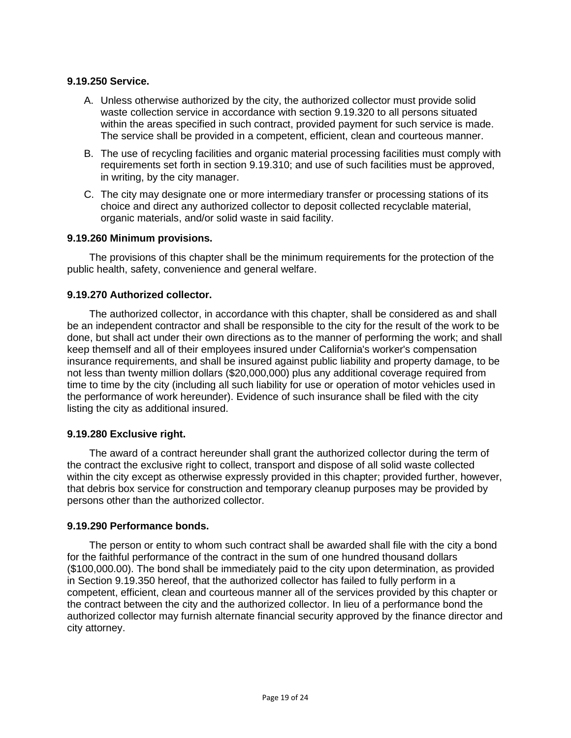# **9.19.250 Service.**

- A. Unless otherwise authorized by the city, the authorized collector must provide solid waste collection service in accordance with section 9.19.320 to all persons situated within the areas specified in such contract, provided payment for such service is made. The service shall be provided in a competent, efficient, clean and courteous manner.
- B. The use of recycling facilities and organic material processing facilities must comply with requirements set forth in section 9.19.310; and use of such facilities must be approved, in writing, by the city manager.
- C. The city may designate one or more intermediary transfer or processing stations of its choice and direct any authorized collector to deposit collected recyclable material, organic materials, and/or solid waste in said facility.

#### **9.19.260 Minimum provisions.**

The provisions of this chapter shall be the minimum requirements for the protection of the public health, safety, convenience and general welfare.

#### **9.19.270 Authorized collector.**

The authorized collector, in accordance with this chapter, shall be considered as and shall be an independent contractor and shall be responsible to the city for the result of the work to be done, but shall act under their own directions as to the manner of performing the work; and shall keep themself and all of their employees insured under California's worker's compensation insurance requirements, and shall be insured against public liability and property damage, to be not less than twenty million dollars (\$20,000,000) plus any additional coverage required from time to time by the city (including all such liability for use or operation of motor vehicles used in the performance of work hereunder). Evidence of such insurance shall be filed with the city listing the city as additional insured.

### **9.19.280 Exclusive right.**

The award of a contract hereunder shall grant the authorized collector during the term of the contract the exclusive right to collect, transport and dispose of all solid waste collected within the city except as otherwise expressly provided in this chapter; provided further, however, that debris box service for construction and temporary cleanup purposes may be provided by persons other than the authorized collector.

#### **9.19.290 Performance bonds.**

The person or entity to whom such contract shall be awarded shall file with the city a bond for the faithful performance of the contract in the sum of one hundred thousand dollars (\$100,000.00). The bond shall be immediately paid to the city upon determination, as provided in Section 9.19.350 hereof, that the authorized collector has failed to fully perform in a competent, efficient, clean and courteous manner all of the services provided by this chapter or the contract between the city and the authorized collector. In lieu of a performance bond the authorized collector may furnish alternate financial security approved by the finance director and city attorney.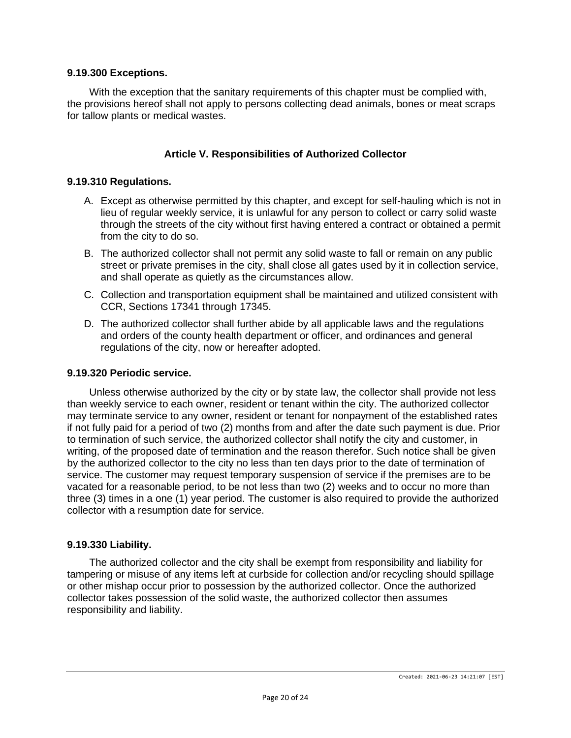### **9.19.300 Exceptions.**

With the exception that the sanitary requirements of this chapter must be complied with, the provisions hereof shall not apply to persons collecting dead animals, bones or meat scraps for tallow plants or medical wastes.

# **Article V. Responsibilities of Authorized Collector**

### **9.19.310 Regulations.**

- A. Except as otherwise permitted by this chapter, and except for self-hauling which is not in lieu of regular weekly service, it is unlawful for any person to collect or carry solid waste through the streets of the city without first having entered a contract or obtained a permit from the city to do so.
- B. The authorized collector shall not permit any solid waste to fall or remain on any public street or private premises in the city, shall close all gates used by it in collection service, and shall operate as quietly as the circumstances allow.
- C. Collection and transportation equipment shall be maintained and utilized consistent with CCR, Sections 17341 through 17345.
- D. The authorized collector shall further abide by all applicable laws and the regulations and orders of the county health department or officer, and ordinances and general regulations of the city, now or hereafter adopted.

#### **9.19.320 Periodic service.**

Unless otherwise authorized by the city or by state law, the collector shall provide not less than weekly service to each owner, resident or tenant within the city. The authorized collector may terminate service to any owner, resident or tenant for nonpayment of the established rates if not fully paid for a period of two (2) months from and after the date such payment is due. Prior to termination of such service, the authorized collector shall notify the city and customer, in writing, of the proposed date of termination and the reason therefor. Such notice shall be given by the authorized collector to the city no less than ten days prior to the date of termination of service. The customer may request temporary suspension of service if the premises are to be vacated for a reasonable period, to be not less than two (2) weeks and to occur no more than three (3) times in a one (1) year period. The customer is also required to provide the authorized collector with a resumption date for service.

#### **9.19.330 Liability.**

The authorized collector and the city shall be exempt from responsibility and liability for tampering or misuse of any items left at curbside for collection and/or recycling should spillage or other mishap occur prior to possession by the authorized collector. Once the authorized collector takes possession of the solid waste, the authorized collector then assumes responsibility and liability.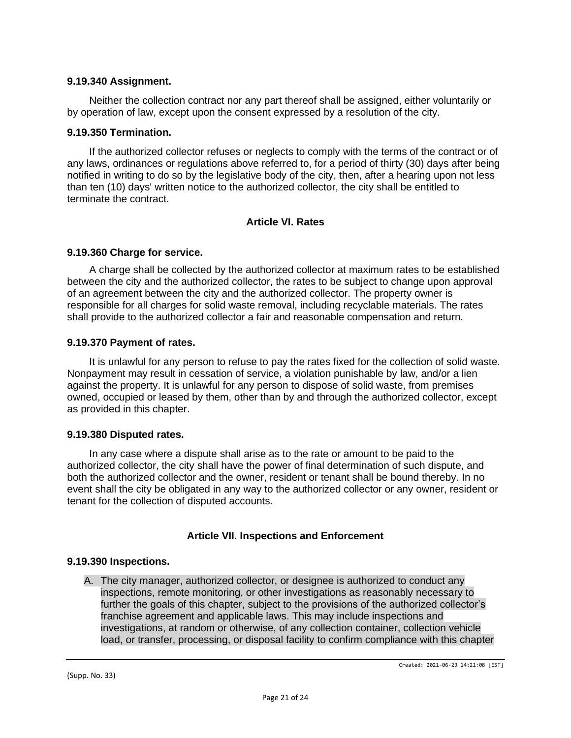### **9.19.340 Assignment.**

Neither the collection contract nor any part thereof shall be assigned, either voluntarily or by operation of law, except upon the consent expressed by a resolution of the city.

### **9.19.350 Termination.**

If the authorized collector refuses or neglects to comply with the terms of the contract or of any laws, ordinances or regulations above referred to, for a period of thirty (30) days after being notified in writing to do so by the legislative body of the city, then, after a hearing upon not less than ten (10) days' written notice to the authorized collector, the city shall be entitled to terminate the contract.

# **Article VI. Rates**

### **9.19.360 Charge for service.**

A charge shall be collected by the authorized collector at maximum rates to be established between the city and the authorized collector, the rates to be subject to change upon approval of an agreement between the city and the authorized collector. The property owner is responsible for all charges for solid waste removal, including recyclable materials. The rates shall provide to the authorized collector a fair and reasonable compensation and return.

### **9.19.370 Payment of rates.**

It is unlawful for any person to refuse to pay the rates fixed for the collection of solid waste. Nonpayment may result in cessation of service, a violation punishable by law, and/or a lien against the property. It is unlawful for any person to dispose of solid waste, from premises owned, occupied or leased by them, other than by and through the authorized collector, except as provided in this chapter.

#### **9.19.380 Disputed rates.**

In any case where a dispute shall arise as to the rate or amount to be paid to the authorized collector, the city shall have the power of final determination of such dispute, and both the authorized collector and the owner, resident or tenant shall be bound thereby. In no event shall the city be obligated in any way to the authorized collector or any owner, resident or tenant for the collection of disputed accounts.

# **Article VII. Inspections and Enforcement**

#### **9.19.390 Inspections.**

A. The city manager, authorized collector, or designee is authorized to conduct any inspections, remote monitoring, or other investigations as reasonably necessary to further the goals of this chapter, subject to the provisions of the authorized collector's franchise agreement and applicable laws. This may include inspections and investigations, at random or otherwise, of any collection container, collection vehicle load, or transfer, processing, or disposal facility to confirm compliance with this chapter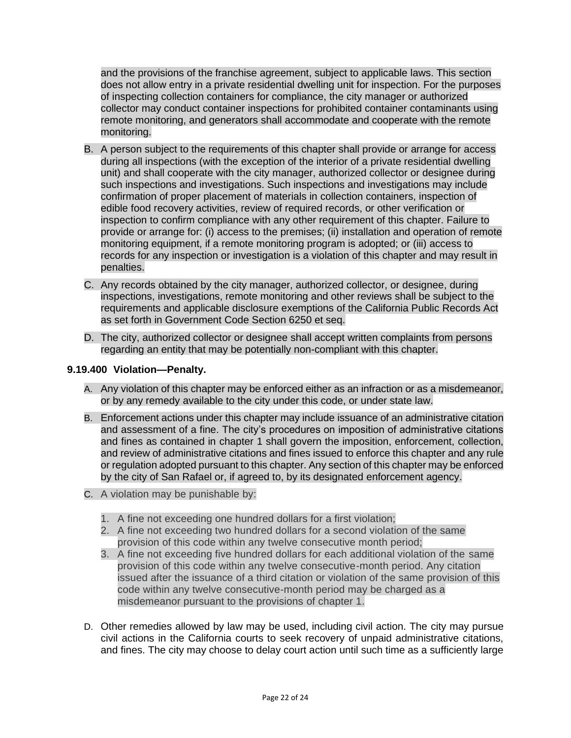and the provisions of the franchise agreement, subject to applicable laws. This section does not allow entry in a private residential dwelling unit for inspection. For the purposes of inspecting collection containers for compliance, the city manager or authorized collector may conduct container inspections for prohibited container contaminants using remote monitoring, and generators shall accommodate and cooperate with the remote monitoring.

- B. A person subject to the requirements of this chapter shall provide or arrange for access during all inspections (with the exception of the interior of a private residential dwelling unit) and shall cooperate with the city manager, authorized collector or designee during such inspections and investigations. Such inspections and investigations may include confirmation of proper placement of materials in collection containers, inspection of edible food recovery activities, review of required records, or other verification or inspection to confirm compliance with any other requirement of this chapter. Failure to provide or arrange for: (i) access to the premises; (ii) installation and operation of remote monitoring equipment, if a remote monitoring program is adopted; or (iii) access to records for any inspection or investigation is a violation of this chapter and may result in penalties.
- C. Any records obtained by the city manager, authorized collector, or designee, during inspections, investigations, remote monitoring and other reviews shall be subject to the requirements and applicable disclosure exemptions of the California Public Records Act as set forth in Government Code Section 6250 et seq.
- D. The city, authorized collector or designee shall accept written complaints from persons regarding an entity that may be potentially non-compliant with this chapter.

# **9.19.400 Violation—Penalty.**

- A. Any violation of this chapter may be enforced either as an infraction or as a misdemeanor, or by any remedy available to the city under this code, or under state law.
- B. Enforcement actions under this chapter may include issuance of an administrative citation and assessment of a fine. The city's procedures on imposition of administrative citations and fines as contained in chapter 1 shall govern the imposition, enforcement, collection, and review of administrative citations and fines issued to enforce this chapter and any rule or regulation adopted pursuant to this chapter. Any section of this chapter may be enforced by the city of San Rafael or, if agreed to, by its designated enforcement agency.
- C. A violation may be punishable by:
	- 1. A fine not exceeding one hundred dollars for a first violation;
	- 2. A fine not exceeding two hundred dollars for a second violation of the same provision of this code within any twelve consecutive month period;
	- 3. A fine not exceeding five hundred dollars for each additional violation of the same provision of this code within any twelve consecutive-month period. Any citation issued after the issuance of a third citation or violation of the same provision of this code within any twelve consecutive-month period may be charged as a misdemeanor pursuant to the provisions of chapter 1.
- D. Other remedies allowed by law may be used, including civil action. The city may pursue civil actions in the California courts to seek recovery of unpaid administrative citations, and fines. The city may choose to delay court action until such time as a sufficiently large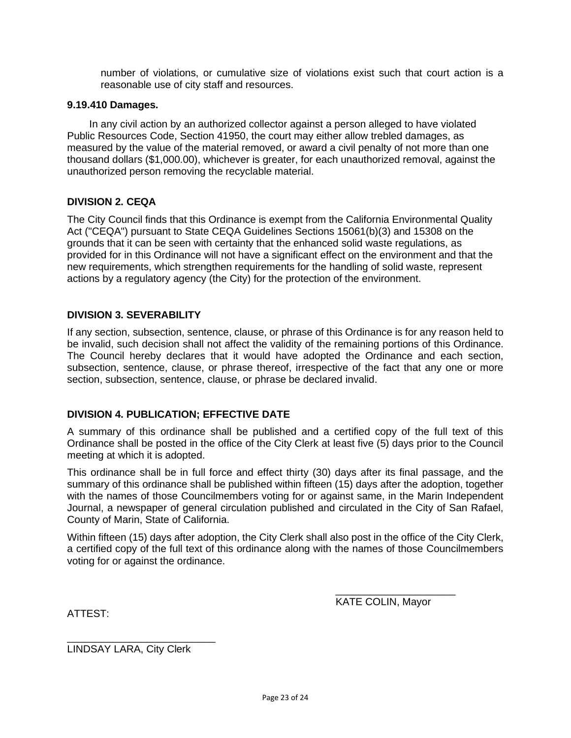number of violations, or cumulative size of violations exist such that court action is a reasonable use of city staff and resources.

### **9.19.410 Damages.**

In any civil action by an authorized collector against a person alleged to have violated Public Resources Code, Section 41950, the court may either allow trebled damages, as measured by the value of the material removed, or award a civil penalty of not more than one thousand dollars (\$1,000.00), whichever is greater, for each unauthorized removal, against the unauthorized person removing the recyclable material.

# **DIVISION 2. CEQA**

The City Council finds that this Ordinance is exempt from the California Environmental Quality Act ("CEQA") pursuant to State CEQA Guidelines Sections 15061(b)(3) and 15308 on the grounds that it can be seen with certainty that the enhanced solid waste regulations, as provided for in this Ordinance will not have a significant effect on the environment and that the new requirements, which strengthen requirements for the handling of solid waste, represent actions by a regulatory agency (the City) for the protection of the environment.

### **DIVISION 3. SEVERABILITY**

If any section, subsection, sentence, clause, or phrase of this Ordinance is for any reason held to be invalid, such decision shall not affect the validity of the remaining portions of this Ordinance. The Council hereby declares that it would have adopted the Ordinance and each section, subsection, sentence, clause, or phrase thereof, irrespective of the fact that any one or more section, subsection, sentence, clause, or phrase be declared invalid.

# **DIVISION 4. PUBLICATION; EFFECTIVE DATE**

A summary of this ordinance shall be published and a certified copy of the full text of this Ordinance shall be posted in the office of the City Clerk at least five (5) days prior to the Council meeting at which it is adopted.

This ordinance shall be in full force and effect thirty (30) days after its final passage, and the summary of this ordinance shall be published within fifteen (15) days after the adoption, together with the names of those Councilmembers voting for or against same, in the Marin Independent Journal, a newspaper of general circulation published and circulated in the City of San Rafael, County of Marin, State of California.

Within fifteen (15) days after adoption, the City Clerk shall also post in the office of the City Clerk, a certified copy of the full text of this ordinance along with the names of those Councilmembers voting for or against the ordinance.

KATE COLIN, Mayor

\_\_\_\_\_\_\_\_\_\_\_\_\_\_\_\_\_\_\_\_\_

ATTEST:

LINDSAY LARA, City Clerk

\_\_\_\_\_\_\_\_\_\_\_\_\_\_\_\_\_\_\_\_\_\_\_\_\_\_